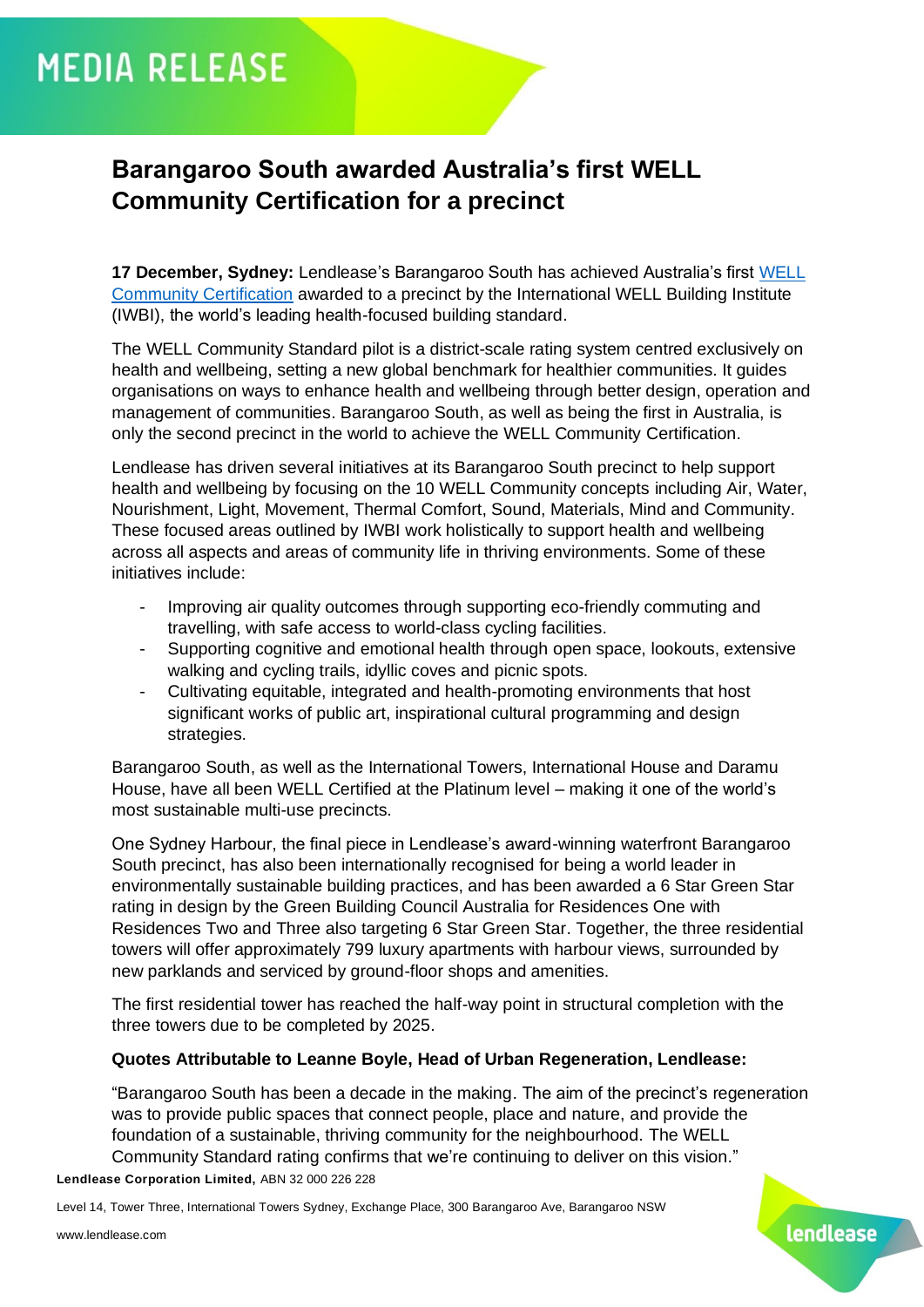# **MEDIA RELEASE**

## **Barangaroo South awarded Australia's first WELL Community Certification for a precinct**

**17 December, Sydney:** Lendlease's Barangaroo South has achieved Australia's first [WELL](https://www.wellcertified.com/certification/community/)  [Community C](https://www.wellcertified.com/certification/community/)ertification awarded to a precinct by the International WELL Building Institute (IWBI), the world's leading health-focused building standard.

The WELL Community Standard pilot is a district-scale rating system centred exclusively on health and wellbeing, setting a new global benchmark for healthier communities. It guides organisations on ways to enhance health and wellbeing through better design, operation and management of communities. Barangaroo South, as well as being the first in Australia, is only the second precinct in the world to achieve the WELL Community Certification.

Lendlease has driven several initiatives at its Barangaroo South precinct to help support health and wellbeing by focusing on the 10 WELL Community concepts including Air, Water, Nourishment, Light, Movement, Thermal Comfort, Sound, Materials, Mind and Community. These focused areas outlined by IWBI work holistically to support health and wellbeing across all aspects and areas of community life in thriving environments. Some of these initiatives include:

- Improving air quality outcomes through supporting eco-friendly commuting and travelling, with safe access to world-class cycling facilities.
- Supporting cognitive and emotional health through open space, lookouts, extensive walking and cycling trails, idyllic coves and picnic spots.
- Cultivating equitable, integrated and health-promoting environments that host significant works of public art, inspirational cultural programming and design strategies.

Barangaroo South, as well as the International Towers, International House and Daramu House, have all been WELL Certified at the Platinum level – making it one of the world's most sustainable multi-use precincts.

One Sydney Harbour, the final piece in Lendlease's award-winning waterfront Barangaroo South precinct, has also been internationally recognised for being a world leader in environmentally sustainable building practices, and has been awarded a 6 Star Green Star rating in design by the Green Building Council Australia for Residences One with Residences Two and Three also targeting 6 Star Green Star. Together, the three residential towers will offer approximately 799 luxury apartments with harbour views, surrounded by new parklands and serviced by ground-floor shops and amenities.

The first residential tower has reached the half-way point in structural completion with the three towers due to be completed by 2025.

#### **Quotes Attributable to Leanne Boyle, Head of Urban Regeneration, Lendlease:**

"Barangaroo South has been a decade in the making. The aim of the precinct's regeneration was to provide public spaces that connect people, place and nature, and provide the foundation of a sustainable, thriving community for the neighbourhood. The WELL Community Standard rating confirms that we're continuing to deliver on this vision."

lendlease

**Lendlease Corporation Limited,** ABN 32 000 226 228

Level 14, Tower Three, International Towers Sydney, Exchange Place, 300 Barangaroo Ave, Barangaroo NSW